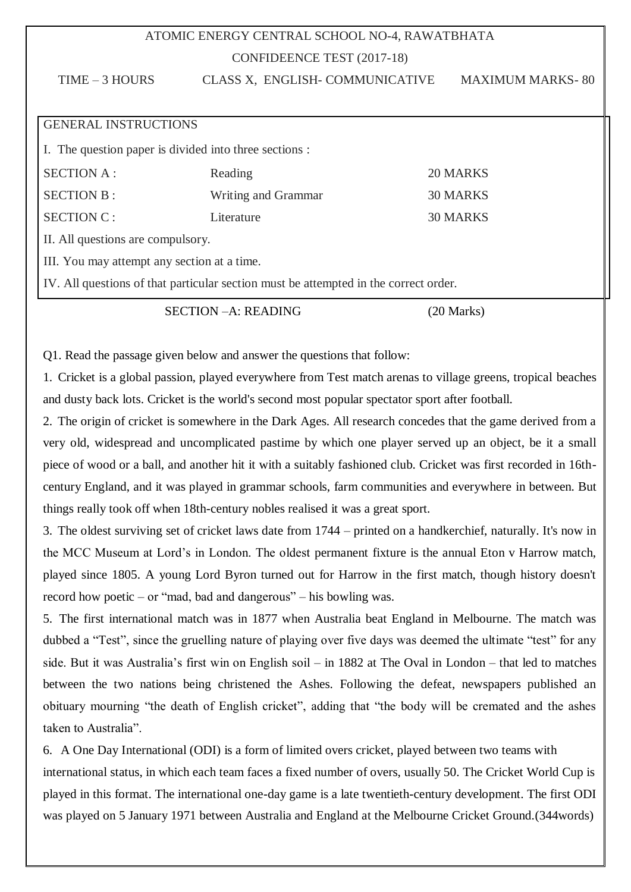## ATOMIC ENERGY CENTRAL SCHOOL NO-4, RAWATBHATA CONFIDEENCE TEST (2017-18)

| $TIME - 3$ HOURS                                       | CLASS X, ENGLISH- COMMUNICATIVE                                                      | <b>MAXIMUM MARKS-80</b> |
|--------------------------------------------------------|--------------------------------------------------------------------------------------|-------------------------|
|                                                        |                                                                                      |                         |
| <b>GENERAL INSTRUCTIONS</b>                            |                                                                                      |                         |
| I. The question paper is divided into three sections : |                                                                                      |                         |
| <b>SECTION A:</b>                                      | Reading                                                                              | 20 MARKS                |
| <b>SECTION B:</b>                                      | Writing and Grammar                                                                  | <b>30 MARKS</b>         |
| <b>SECTION C:</b>                                      | <b>30 MARKS</b><br>Literature                                                        |                         |
| II. All questions are compulsory.                      |                                                                                      |                         |
| III. You may attempt any section at a time.            |                                                                                      |                         |
|                                                        | IV. All questions of that particular section must be attempted in the correct order. |                         |

SECTION –A: READING (20 Marks)

Q1. Read the passage given below and answer the questions that follow:

1. Cricket is a global passion, played everywhere from Test match arenas to village greens, tropical beaches and dusty back lots. Cricket is the world's second most popular spectator sport after football.

2. The origin of cricket is somewhere in the Dark Ages. All research concedes that the game derived from a very old, widespread and uncomplicated pastime by which one player served up an object, be it a small piece of wood or a ball, and another hit it with a suitably fashioned club. Cricket was first recorded in 16thcentury England, and it was played in grammar schools, farm communities and everywhere in between. But things really took off when 18th-century nobles realised it was a great sport.

3. The oldest surviving set of cricket laws date from 1744 – printed on a handkerchief, naturally. It's now in the MCC Museum at Lord"s in London. The oldest permanent fixture is the annual Eton v Harrow match, played since 1805. A young Lord Byron turned out for Harrow in the first match, though history doesn't record how poetic – or "mad, bad and dangerous" – his bowling was.

5. The first international match was in 1877 when Australia beat England in Melbourne. The match was dubbed a "Test", since the gruelling nature of playing over five days was deemed the ultimate "test" for any side. But it was Australia"s first win on English soil – in 1882 at The Oval in London – that led to matches between the two nations being christened the Ashes. Following the defeat, newspapers published an obituary mourning "the death of English cricket", adding that "the body will be cremated and the ashes taken to Australia".

6. A One Day International (ODI) is a form of limited overs cricket, played between two teams with international status, in which each team faces a fixed number of overs, usually 50. The Cricket World Cup is played in this format. The international one-day game is a late twentieth-century development. The first ODI was played on 5 January 1971 between Australia and England at the Melbourne Cricket Ground.(344words)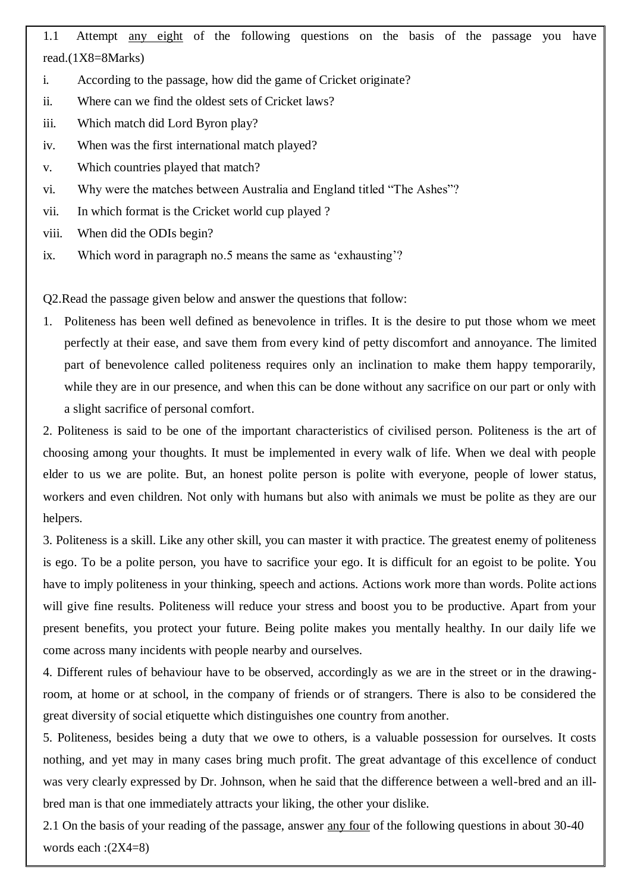1.1 Attempt any eight of the following questions on the basis of the passage you have read.(1X8=8Marks)

- i. According to the passage, how did the game of Cricket originate?
- ii. Where can we find the oldest sets of Cricket laws?
- iii. Which match did Lord Byron play?
- iv. When was the first international match played?
- v. Which countries played that match?
- vi. Why were the matches between Australia and England titled "The Ashes"?
- vii. In which format is the Cricket world cup played ?
- viii. When did the ODIs begin?
- ix. Which word in paragraph no.5 means the same as 'exhausting'?

Q2.Read the passage given below and answer the questions that follow:

1. Politeness has been well defined as benevolence in trifles. It is the desire to put those whom we meet perfectly at their ease, and save them from every kind of petty discomfort and annoyance. The limited part of benevolence called politeness requires only an inclination to make them happy temporarily, while they are in our presence, and when this can be done without any sacrifice on our part or only with a slight sacrifice of personal comfort.

2. Politeness is said to be one of the important characteristics of civilised person. Politeness is the art of choosing among your thoughts. It must be implemented in every walk of life. When we deal with people elder to us we are polite. But, an honest polite person is polite with everyone, people of lower status, workers and even children. Not only with humans but also with animals we must be polite as they are our helpers.

3. Politeness is a skill. Like any other skill, you can master it with practice. The greatest enemy of politeness is ego. To be a polite person, you have to sacrifice your ego. It is difficult for an egoist to be polite. You have to imply politeness in your thinking, speech and actions. Actions work more than words. Polite actions will give fine results. Politeness will reduce your stress and boost you to be productive. Apart from your present benefits, you protect your future. Being polite makes you mentally healthy. In our daily life we come across many incidents with people nearby and ourselves.

4. Different rules of behaviour have to be observed, accordingly as we are in the street or in the drawingroom, at home or at school, in the company of friends or of strangers. There is also to be considered the great diversity of social etiquette which distinguishes one country from another.

5. Politeness, besides being a duty that we owe to others, is a valuable possession for ourselves. It costs nothing, and yet may in many cases bring much profit. The great advantage of this excellence of conduct was very clearly expressed by Dr. Johnson, when he said that the difference between a well-bred and an illbred man is that one immediately attracts your liking, the other your dislike.

2.1 On the basis of your reading of the passage, answer <u>any four</u> of the following questions in about 30-40 words each :(2X4=8)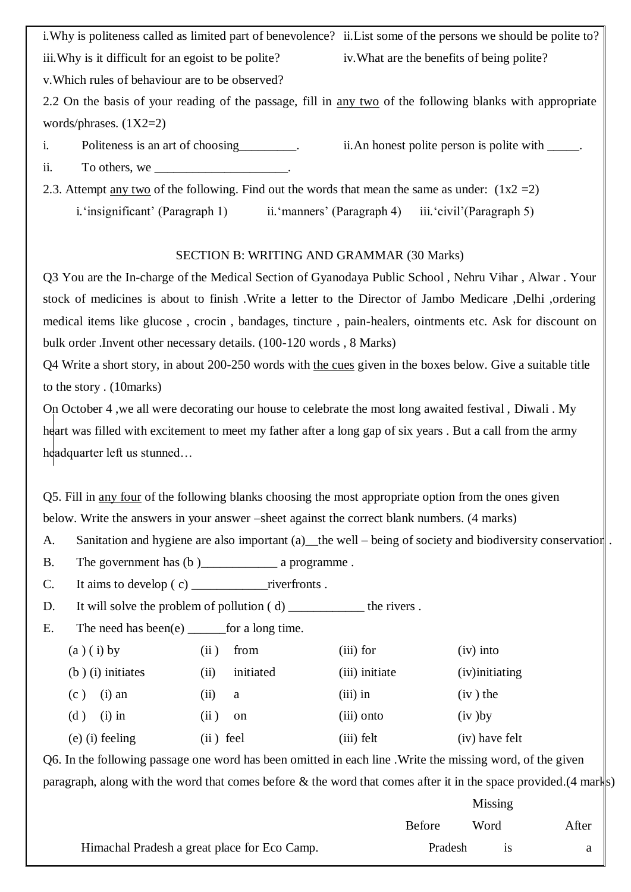i.Why is politeness called as limited part of benevolence? ii.List some of the persons we should be polite to? iii. Why is it difficult for an egoist to be polite? iv. What are the benefits of being polite?

v.Which rules of behaviour are to be observed?

2.2 On the basis of your reading of the passage, fill in any two of the following blanks with appropriate words/phrases. (1X2=2)

- i. Politeness is an art of choosing ii.An honest polite person is polite with  $\blacksquare$ . ii. To others, we
- 2.3. Attempt <u>any two</u> of the following. Find out the words that mean the same as under:  $(1x2 = 2)$

i. 'insignificant' (Paragraph 1) ii. 'manners' (Paragraph 4) iii. 'civil' (Paragraph 5)

## SECTION B: WRITING AND GRAMMAR (30 Marks)

Q3 You are the In-charge of the Medical Section of Gyanodaya Public School , Nehru Vihar , Alwar . Your stock of medicines is about to finish .Write a letter to the Director of Jambo Medicare ,Delhi ,ordering medical items like glucose , crocin , bandages, tincture , pain-healers, ointments etc. Ask for discount on bulk order .Invent other necessary details. (100-120 words , 8 Marks)

Q4 Write a short story, in about 200-250 words with the cues given in the boxes below. Give a suitable title to the story . (10marks)

On October 4 ,we all were decorating our house to celebrate the most long awaited festival , Diwali . My heart was filled with excitement to meet my father after a long gap of six years. But a call from the army headquarter left us stunned…

Q5. Fill in any four of the following blanks choosing the most appropriate option from the ones given below. Write the answers in your answer –sheet against the correct blank numbers. (4 marks)

- A. Sanitation and hygiene are also important (a) the well being of society and biodiversity conservation.
- B. The government has  $(b)$  a programme.
- C. It aims to develop  $(c)$  riverfronts .
- D. It will solve the problem of pollution (d) \_\_\_\_\_\_\_\_\_\_\_\_\_ the rivers.
- E. The need has been(e)  $\qquad$  for a long time.

| $(a)(i)$ by         | from<br>(ii)           | $(iii)$ for    | $(iv)$ into     |
|---------------------|------------------------|----------------|-----------------|
| $(b)$ (i) initiates | initiated<br>(11)      | (iii) initiate | (iv) initiating |
| $(i)$ an<br>(c)     | $\left(11\right)$<br>a | $(iii)$ in     | $(iv)$ the      |
| $(i)$ in<br>(d)     | (ii)<br>on             | $(iii)$ onto   | $(iv)$ by       |
| $(e)$ (i) feeling   | (ii) feel              | $(iii)$ felt   | (iv) have felt  |

Q6. In the following passage one word has been omitted in each line .Write the missing word, of the given paragraph, along with the word that comes before  $\&$  the word that comes after it in the space provided.(4 marks)

|                                              | Missing       |           |       |
|----------------------------------------------|---------------|-----------|-------|
|                                              | <b>Before</b> | Word      | After |
| Himachal Pradesh a great place for Eco Camp. | Pradesh       | <b>1S</b> |       |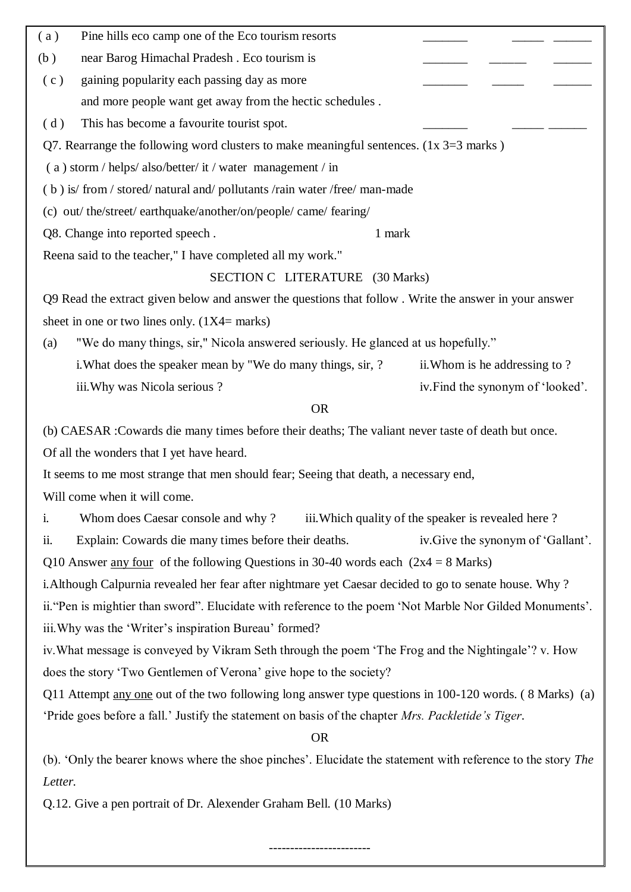| (b)<br>near Barog Himachal Pradesh. Eco tourism is<br>gaining popularity each passing day as more<br>(c)       |  |
|----------------------------------------------------------------------------------------------------------------|--|
|                                                                                                                |  |
|                                                                                                                |  |
| and more people want get away from the hectic schedules.                                                       |  |
| This has become a favourite tourist spot.<br>(d)                                                               |  |
| Q7. Rearrange the following word clusters to make meaningful sentences. $(1x 3=3$ marks)                       |  |
| (a) storm / helps/ also/better/ it / water management / in                                                     |  |
| (b) is/ from / stored/ natural and/ pollutants /rain water /free/ man-made                                     |  |
| (c) out/the/street/earthquake/another/on/people/came/fearing/                                                  |  |
| Q8. Change into reported speech.<br>1 mark                                                                     |  |
| Reena said to the teacher," I have completed all my work."                                                     |  |
| SECTION C LITERATURE (30 Marks)                                                                                |  |
| Q9 Read the extract given below and answer the questions that follow. Write the answer in your answer          |  |
| sheet in one or two lines only. $(1X4 = \text{marks})$                                                         |  |
| "We do many things, sir," Nicola answered seriously. He glanced at us hopefully."<br>(a)                       |  |
| i. What does the speaker mean by "We do many things, sir, ?<br>ii. Whom is he addressing to?                   |  |
| iii. Why was Nicola serious?<br>iv. Find the synonym of 'looked'.                                              |  |
| <b>OR</b>                                                                                                      |  |
| (b) CAESAR : Cowards die many times before their deaths; The valiant never taste of death but once.            |  |
| Of all the wonders that I yet have heard.                                                                      |  |
| It seems to me most strange that men should fear; Seeing that death, a necessary end,                          |  |
| Will come when it will come.                                                                                   |  |
| Whom does Caesar console and why? iii. Which quality of the speaker is revealed here?<br>i.                    |  |
| Explain: Cowards die many times before their deaths.<br>ii.<br>iv. Give the synonym of 'Gallant'.              |  |
| Q10 Answer <u>any four</u> of the following Questions in 30-40 words each $(2x4 = 8 \text{ Marks})$            |  |
| i. Although Calpurnia revealed her fear after nightmare yet Caesar decided to go to senate house. Why?         |  |
| ii. "Pen is mightier than sword". Elucidate with reference to the poem 'Not Marble Nor Gilded Monuments'.      |  |
| iii. Why was the 'Writer's inspiration Bureau' formed?                                                         |  |
| iv. What message is conveyed by Vikram Seth through the poem 'The Frog and the Nightingale'? v. How            |  |
| does the story 'Two Gentlemen of Verona' give hope to the society?                                             |  |
| Q11 Attempt <u>any one</u> out of the two following long answer type questions in 100-120 words. (8 Marks) (a) |  |
| 'Pride goes before a fall.' Justify the statement on basis of the chapter Mrs. Packletide's Tiger.             |  |
| <b>OR</b>                                                                                                      |  |
| (b). 'Only the bearer knows where the shoe pinches'. Elucidate the statement with reference to the story The   |  |
| Letter.                                                                                                        |  |

Q.12. Give a pen portrait of Dr. Alexender Graham Bell. (10 Marks)

------------------------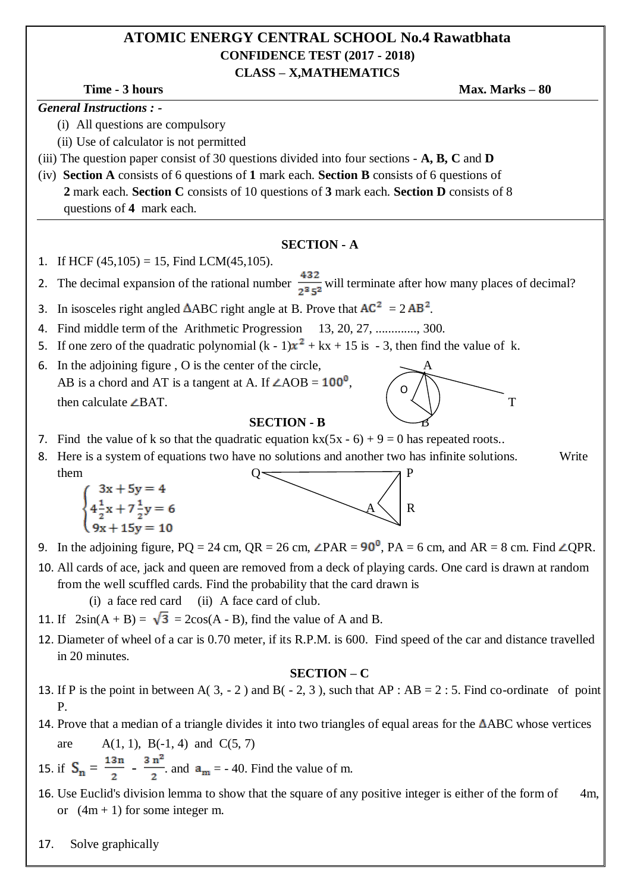## **ATOMIC ENERGY CENTRAL SCHOOL No.4 Rawatbhata CONFIDENCE TEST (2017 - 2018) CLASS – X,MATHEMATICS**

**Time -** 3 hours **Max. Marks –** 80

*General Instructions : -*

- (i) All questions are compulsory
- (ii) Use of calculator is not permitted
- (iii) The question paper consist of 30 questions divided into four sections **A, B, C** and **D**
- (iv) **Section A** consists of 6 questions of **1** mark each. **Section B** consists of 6 questions of **2** mark each. **Section C** consists of 10 questions of **3** mark each. **Section D** consists of 8 questions of **4** mark each.

#### **SECTION - A**

- 1. If HCF  $(45,105) = 15$ , Find LCM $(45,105)$ .
- 2. The decimal expansion of the rational number  $\frac{432}{2^35^2}$  will terminate after how many places of decimal?
- 3. In isosceles right angled  $\triangle$ ABC right angle at B. Prove that  $AC^2 = 2 AB^2$ .
- 4. Find middle term of the Arithmetic Progression 13, 20, 27, ............., 300.
- 5. If one zero of the quadratic polynomial  $(k 1)x^2 + kx + 15$  is  $-3$ , then find the value of k.
- 6. In the adjoining figure,  $\overline{O}$  is the center of the circle, AB is a chord and AT is a tangent at A. If  $\angle AOB = 100^\circ$ , then calculate  $\angle$ BAT. T

#### **SECTION - B**

- 7. Find the value of k so that the quadratic equation kx(5x 6) + 9 = 0 has repeated roots..
- 8. Here is a system of equations two have no solutions and another two has infinite solutions. Write them  $Q \leftarrow \qquad \qquad \qquad \wedge$



O

- 9. In the adjoining figure,  $PQ = 24$  cm,  $QR = 26$  cm,  $\angle PAR = 90^\circ$ ,  $PA = 6$  cm, and  $AR = 8$  cm. Find  $\angle QPR$ .
- 10. All cards of ace, jack and queen are removed from a deck of playing cards. One card is drawn at random from the well scuffled cards. Find the probability that the card drawn is

(i) a face red card (ii) A face card of club.

- 11. If  $2\sin(A + B) = \sqrt{3} = 2\cos(A B)$ , find the value of A and B.
- 12. Diameter of wheel of a car is 0.70 meter, if its R.P.M. is 600. Find speed of the car and distance travelled in 20 minutes.

#### **SECTION – C**

- 13. If P is the point in between A( 3, 2) and B( 2, 3), such that AP : AB = 2 : 5. Find co-ordinate of point P.
- 14. Prove that a median of a triangle divides it into two triangles of equal areas for the  $\triangle$ ABC whose vertices are  $A(1, 1), B(-1, 4)$  and  $C(5, 7)$
- 15. if  $S_n = \frac{13n}{2} \frac{3n^2}{2}$  and  $a_m = -40$ . Find the value of m.
- 16. Use Euclid's division lemma to show that the square of any positive integer is either of the form of 4m, or  $(4m + 1)$  for some integer m.
- 17. Solve graphically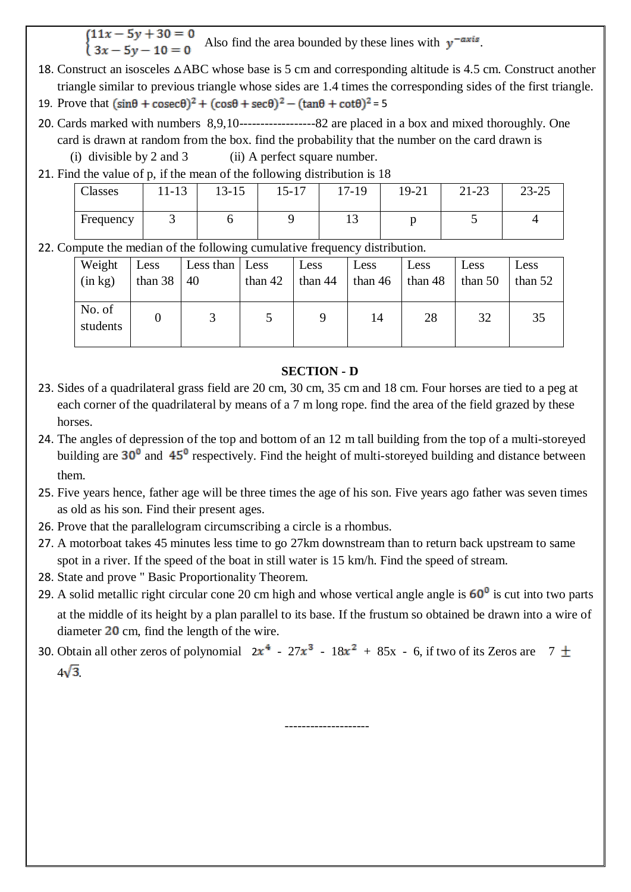$\begin{cases} 11x - 5y + 30 = 0 \\ 3x - 5y - 10 = 0 \end{cases}$  Also find the area bounded by these lines with  $y^{-axis}$ .

- 18. Construct an isosceles △ABC whose base is 5 cm and corresponding altitude is 4.5 cm. Construct another triangle similar to previous triangle whose sides are 1.4 times the corresponding sides of the first triangle. 19. Prove that  $(\sin\theta + \csc\theta)^2 + (\cos\theta + \sec\theta)^2 - (\tan\theta + \cot\theta)^2 = 5$
- 20. Cards marked with numbers 8,9,10------------------82 are placed in a box and mixed thoroughly. One card is drawn at random from the box. find the probability that the number on the card drawn is
	- (i) divisible by 2 and 3 (ii) A perfect square number.
- 21. Find the value of p, if the mean of the following distribution is 18

| Classes   | 12<br>$1 - 13$ | 10.15<br>$13 - 13$ | $15 - 17$ | 17-19 | 19-21 | 2122<br>21-23 | $23 - 25$ |
|-----------|----------------|--------------------|-----------|-------|-------|---------------|-----------|
| Frequency | ີ              |                    |           | ∸ →   |       |               |           |

22. Compute the median of the following cumulative frequency distribution.

| Weight             | Less    | Less than Less | than 42 | Less    | Less      | Less      | Less      | Less      |
|--------------------|---------|----------------|---------|---------|-----------|-----------|-----------|-----------|
| (in kg)            | than 38 | 40             |         | than 44 | than $46$ | than $48$ | than $50$ | than $52$ |
| No. of<br>students |         |                |         |         | 14        | 28        | 32        | 35        |

### **SECTION - D**

- 23. Sides of a quadrilateral grass field are 20 cm, 30 cm, 35 cm and 18 cm. Four horses are tied to a peg at each corner of the quadrilateral by means of a 7 m long rope. find the area of the field grazed by these horses.
- 24. The angles of depression of the top and bottom of an 12 m tall building from the top of a multi-storeyed building are  $30^{\circ}$  and  $45^{\circ}$  respectively. Find the height of multi-storeyed building and distance between them.
- 25. Five years hence, father age will be three times the age of his son. Five years ago father was seven times as old as his son. Find their present ages.
- 26. Prove that the parallelogram circumscribing a circle is a rhombus.
- 27. A motorboat takes 45 minutes less time to go 27km downstream than to return back upstream to same spot in a river. If the speed of the boat in still water is 15 km/h. Find the speed of stream.
- 28. State and prove " Basic Proportionality Theorem.
- 29. A solid metallic right circular cone 20 cm high and whose vertical angle angle is  $60^{\circ}$  is cut into two parts at the middle of its height by a plan parallel to its base. If the frustum so obtained be drawn into a wire of diameter  $20$  cm, find the length of the wire.

--------------------

30. Obtain all other zeros of polynomial  $2x^4 - 27x^3 - 18x^2 + 85x - 6$ , if two of its Zeros are 7  $\pm$  $4\sqrt{3}$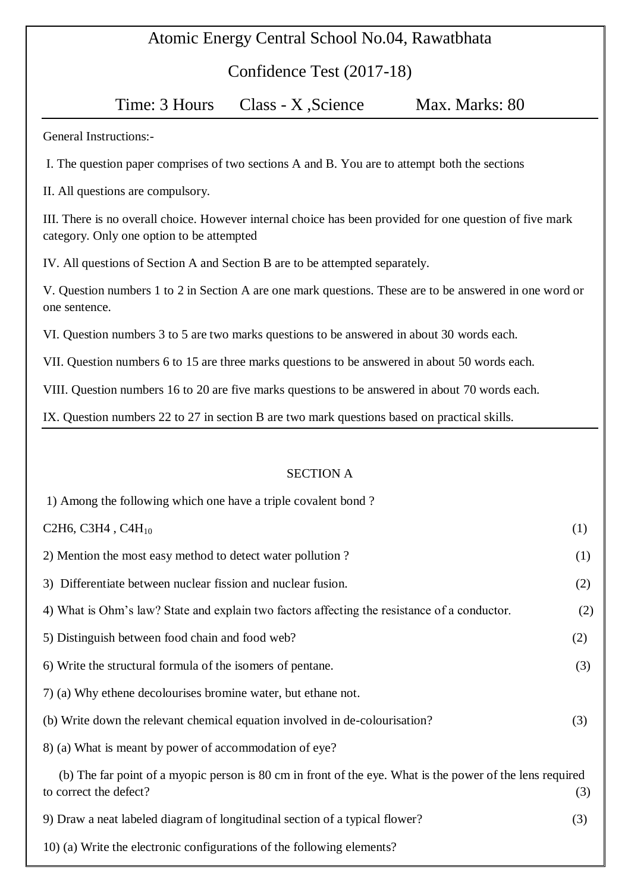## Atomic Energy Central School No.04, Rawatbhata

Confidence Test (2017-18)

Time: 3 Hours Class - X, Science Max. Marks: 80

General Instructions:-

I. The question paper comprises of two sections A and B. You are to attempt both the sections

II. All questions are compulsory.

III. There is no overall choice. However internal choice has been provided for one question of five mark category. Only one option to be attempted

IV. All questions of Section A and Section B are to be attempted separately.

V. Question numbers 1 to 2 in Section A are one mark questions. These are to be answered in one word or one sentence.

VI. Question numbers 3 to 5 are two marks questions to be answered in about 30 words each.

VII. Question numbers 6 to 15 are three marks questions to be answered in about 50 words each.

VIII. Question numbers 16 to 20 are five marks questions to be answered in about 70 words each.

IX. Question numbers 22 to 27 in section B are two mark questions based on practical skills.

#### SECTION A

| 1) Among the following which one have a triple covalent bond?                                                                       |     |
|-------------------------------------------------------------------------------------------------------------------------------------|-----|
| C <sub>2</sub> H <sub>6</sub> , C <sub>3</sub> H <sub>4</sub> , C <sub>4</sub> H <sub>10</sub>                                      | (1) |
| 2) Mention the most easy method to detect water pollution?                                                                          | (1) |
| 3) Differentiate between nuclear fission and nuclear fusion.                                                                        | (2) |
| 4) What is Ohm's law? State and explain two factors affecting the resistance of a conductor.                                        | (2) |
| 5) Distinguish between food chain and food web?                                                                                     | (2) |
| 6) Write the structural formula of the isomers of pentane.                                                                          | (3) |
| 7) (a) Why ethene decolourises bromine water, but ethane not.                                                                       |     |
| (b) Write down the relevant chemical equation involved in de-colourisation?                                                         | (3) |
| 8) (a) What is meant by power of accommodation of eye?                                                                              |     |
| (b) The far point of a myopic person is 80 cm in front of the eye. What is the power of the lens required<br>to correct the defect? | (3) |
| 9) Draw a neat labeled diagram of longitudinal section of a typical flower?                                                         | (3) |
| 10) (a) Write the electronic configurations of the following elements?                                                              |     |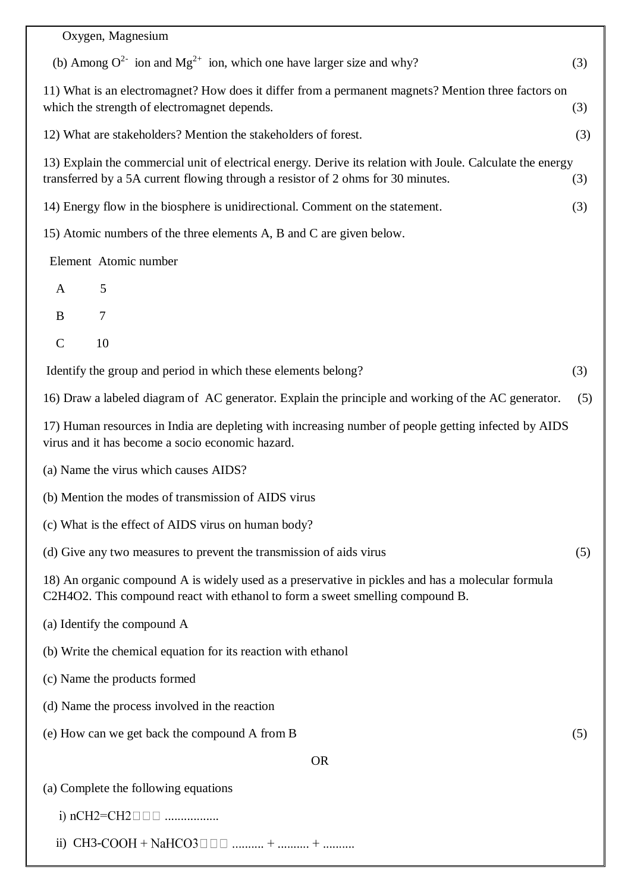| Oxygen, Magnesium                                                                                                                                                                              |     |
|------------------------------------------------------------------------------------------------------------------------------------------------------------------------------------------------|-----|
| (b) Among $Q^{2}$ ion and Mg <sup>2+</sup> ion, which one have larger size and why?                                                                                                            | (3) |
| 11) What is an electromagnet? How does it differ from a permanent magnets? Mention three factors on<br>which the strength of electromagnet depends.                                            | (3) |
| 12) What are stakeholders? Mention the stakeholders of forest.                                                                                                                                 | (3) |
| 13) Explain the commercial unit of electrical energy. Derive its relation with Joule. Calculate the energy<br>transferred by a 5A current flowing through a resistor of 2 ohms for 30 minutes. | (3) |
| 14) Energy flow in the biosphere is unidirectional. Comment on the statement.                                                                                                                  | (3) |
| 15) Atomic numbers of the three elements A, B and C are given below.                                                                                                                           |     |
| Element Atomic number                                                                                                                                                                          |     |
| 5<br>A                                                                                                                                                                                         |     |
| 7<br>B                                                                                                                                                                                         |     |
| $\mathcal{C}$<br>10                                                                                                                                                                            |     |
| Identify the group and period in which these elements belong?                                                                                                                                  | (3) |
| 16) Draw a labeled diagram of AC generator. Explain the principle and working of the AC generator.                                                                                             | (5) |
| 17) Human resources in India are depleting with increasing number of people getting infected by AIDS<br>virus and it has become a socio economic hazard.                                       |     |
| (a) Name the virus which causes AIDS?                                                                                                                                                          |     |
| (b) Mention the modes of transmission of AIDS virus                                                                                                                                            |     |
| (c) What is the effect of AIDS virus on human body?                                                                                                                                            |     |
| (d) Give any two measures to prevent the transmission of aids virus                                                                                                                            | (5) |
| 18) An organic compound A is widely used as a preservative in pickles and has a molecular formula<br>C2H4O2. This compound react with ethanol to form a sweet smelling compound B.             |     |
| (a) Identify the compound A                                                                                                                                                                    |     |
| (b) Write the chemical equation for its reaction with ethanol                                                                                                                                  |     |
| (c) Name the products formed                                                                                                                                                                   |     |
| (d) Name the process involved in the reaction                                                                                                                                                  |     |
| (e) How can we get back the compound A from B                                                                                                                                                  | (5) |
| <b>OR</b>                                                                                                                                                                                      |     |
| (a) Complete the following equations                                                                                                                                                           |     |
|                                                                                                                                                                                                |     |

ii)  $CH3-COOH + NaHCO3 \Box \Box \Box$  .......... + .......... + ..........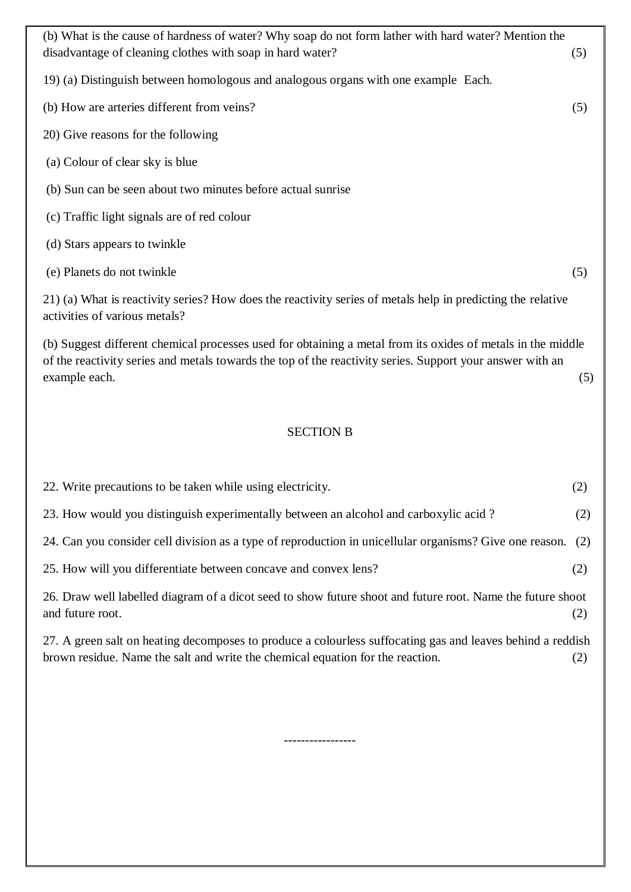| (b) What is the cause of hardness of water? Why soap do not form lather with hard water? Mention the<br>disadvantage of cleaning clothes with soap in hard water?                                                                         | (5) |
|-------------------------------------------------------------------------------------------------------------------------------------------------------------------------------------------------------------------------------------------|-----|
| 19) (a) Distinguish between homologous and analogous organs with one example Each.                                                                                                                                                        |     |
| (b) How are arteries different from veins?                                                                                                                                                                                                | (5) |
| 20) Give reasons for the following                                                                                                                                                                                                        |     |
| (a) Colour of clear sky is blue                                                                                                                                                                                                           |     |
| (b) Sun can be seen about two minutes before actual sunrise                                                                                                                                                                               |     |
| (c) Traffic light signals are of red colour                                                                                                                                                                                               |     |
| (d) Stars appears to twinkle                                                                                                                                                                                                              |     |
| (e) Planets do not twinkle                                                                                                                                                                                                                | (5) |
| 21) (a) What is reactivity series? How does the reactivity series of metals help in predicting the relative<br>activities of various metals?                                                                                              |     |
| (b) Suggest different chemical processes used for obtaining a metal from its oxides of metals in the middle<br>of the reactivity series and metals towards the top of the reactivity series. Support your answer with an<br>example each. | (5) |
|                                                                                                                                                                                                                                           |     |

## SECTION B

| 22. Write precautions to be taken while using electricity.                                                                                                                                   | (2) |
|----------------------------------------------------------------------------------------------------------------------------------------------------------------------------------------------|-----|
| 23. How would you distinguish experimentally between an alcohol and carboxylic acid?                                                                                                         | (2) |
| 24. Can you consider cell division as a type of reproduction in unicellular organisms? Give one reason. (2)                                                                                  |     |
| 25. How will you differentiate between concave and convex lens?                                                                                                                              | (2) |
| 26. Draw well labelled diagram of a dicot seed to show future shoot and future root. Name the future shoot<br>and future root.                                                               | (2) |
| 27. A green salt on heating decomposes to produce a colourless suffocating gas and leaves behind a reddish<br>brown residue. Name the salt and write the chemical equation for the reaction. | (2) |
|                                                                                                                                                                                              |     |

-----------------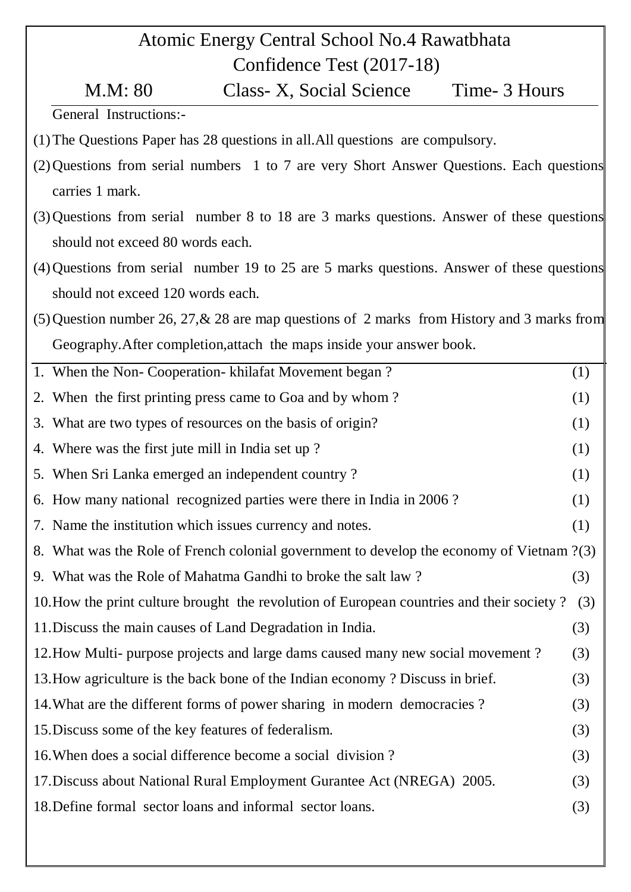# Atomic Energy Central School No.4 Rawatbhata Confidence Test (2017-18)

M.M: 80 Class- X, Social Science Time- 3 Hours

General Instructions:-

- (1)The Questions Paper has 28 questions in all.All questions are compulsory.
- (2)Questions from serial numbers 1 to 7 are very Short Answer Questions. Each questions carries 1 mark.
- (3)Questions from serial number 8 to 18 are 3 marks questions. Answer of these questions should not exceed 80 words each.
- (4)Questions from serial number 19 to 25 are 5 marks questions. Answer of these questions should not exceed 120 words each.
- (5)Question number 26, 27,& 28 are map questions of 2 marks from History and 3 marks from Geography.After completion,attach the maps inside your answer book.

| 1. When the Non-Cooperation-khilafat Movement began?                                      | (1) |
|-------------------------------------------------------------------------------------------|-----|
| 2. When the first printing press came to Goa and by whom?                                 | (1) |
| 3. What are two types of resources on the basis of origin?                                | (1) |
| 4. Where was the first jute mill in India set up?                                         | (1) |
| 5. When Sri Lanka emerged an independent country?                                         | (1) |
| 6. How many national recognized parties were there in India in 2006?                      | (1) |
| 7. Name the institution which issues currency and notes.                                  | (1) |
| 8. What was the Role of French colonial government to develop the economy of Vietnam ?(3) |     |
| 9. What was the Role of Mahatma Gandhi to broke the salt law?                             | (3) |
| 10. How the print culture brought the revolution of European countries and their society? | (3) |
| 11. Discuss the main causes of Land Degradation in India.                                 | (3) |
| 12. How Multi- purpose projects and large dams caused many new social movement?           | (3) |
| 13. How agriculture is the back bone of the Indian economy? Discuss in brief.             | (3) |
| 14. What are the different forms of power sharing in modern democracies?                  | (3) |
| 15. Discuss some of the key features of federalism.                                       | (3) |
| 16. When does a social difference become a social division?                               | (3) |
| 17. Discuss about National Rural Employment Gurantee Act (NREGA) 2005.                    | (3) |
| 18. Define formal sector loans and informal sector loans.                                 | (3) |
|                                                                                           |     |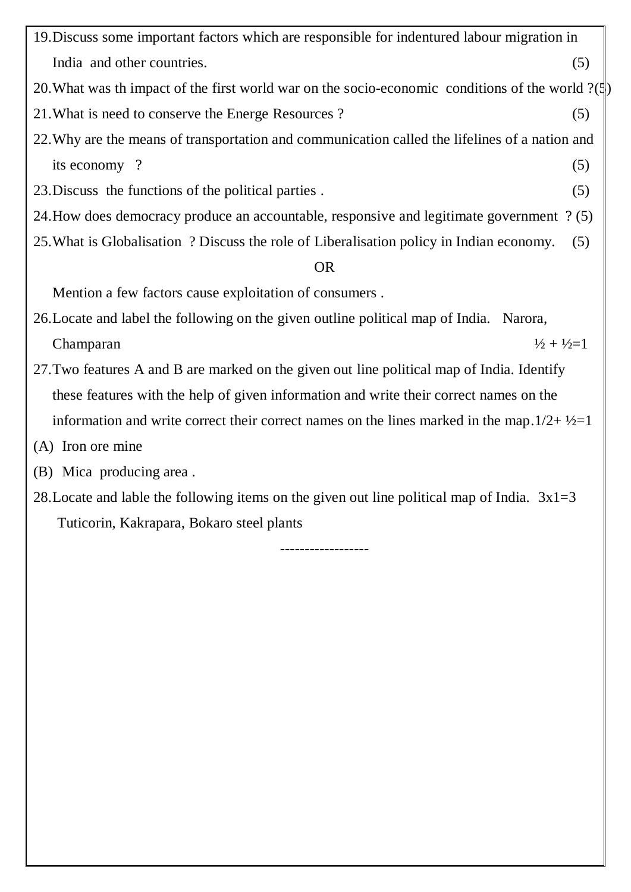| 19. Discuss some important factors which are responsible for indentured labour migration in                                                                                                                                   |     |
|-------------------------------------------------------------------------------------------------------------------------------------------------------------------------------------------------------------------------------|-----|
| India and other countries.                                                                                                                                                                                                    | (5) |
| 20. What was the impact of the first world war on the socio-economic conditions of the world $?(\text{I})$                                                                                                                    |     |
| 21. What is need to conserve the Energe Resources?                                                                                                                                                                            | (5) |
| 22. Why are the means of transportation and communication called the lifelines of a nation and                                                                                                                                |     |
| its economy?                                                                                                                                                                                                                  | (5) |
| 23. Discuss the functions of the political parties.                                                                                                                                                                           | (5) |
| 24. How does democracy produce an accountable, responsive and legitimate government ? (5)                                                                                                                                     |     |
| 25. What is Globalisation ? Discuss the role of Liberalisation policy in Indian economy.                                                                                                                                      | (5) |
| <b>OR</b>                                                                                                                                                                                                                     |     |
| Mention a few factors cause exploitation of consumers.                                                                                                                                                                        |     |
| $111111$ and $0.11$ in the contract of the contract of the contract of the contract of the contract of the contract of the contract of the contract of the contract of the contract of the contract of the contract of the co |     |

- 26.Locate and label the following on the given outline political map of India. Narora, Champaran  $\frac{1}{2} + \frac{1}{2} = 1$
- 27.Two features A and B are marked on the given out line political map of India. Identify these features with the help of given information and write their correct names on the information and write correct their correct names on the lines marked in the map. $1/2 + \frac{1}{2} = 1$
- (A) Iron ore mine
- (B) Mica producing area .
- 28. Locate and lable the following items on the given out line political map of India.  $3x1=3$ Tuticorin, Kakrapara, Bokaro steel plants

------------------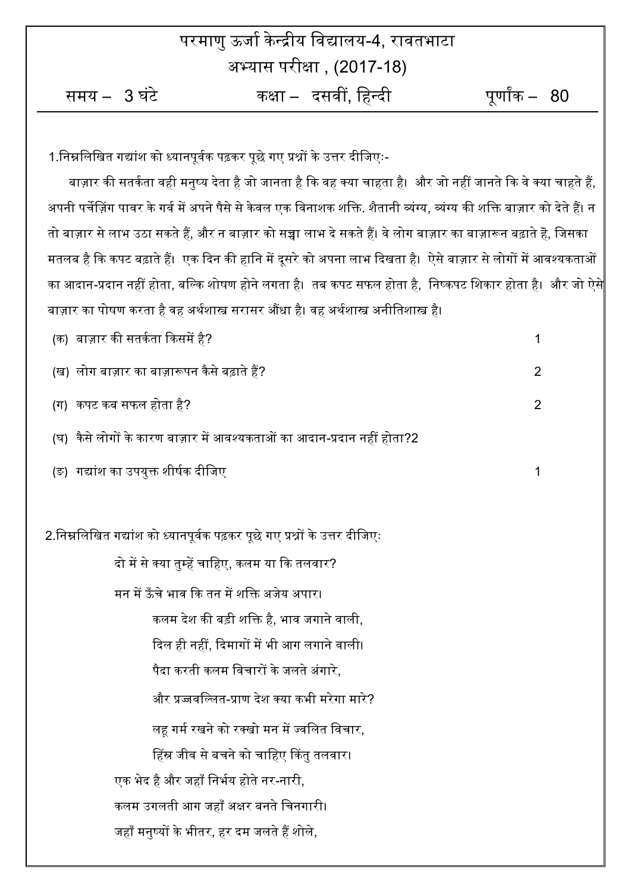|                                                                                                                |                                                | परमाणु ऊर्जा केन्द्रीय विद्यालय-4, रावतभाटा |                                                                                                                            |  |  |
|----------------------------------------------------------------------------------------------------------------|------------------------------------------------|---------------------------------------------|----------------------------------------------------------------------------------------------------------------------------|--|--|
| अभ्यास परीक्षा , (2017-18)                                                                                     |                                                |                                             |                                                                                                                            |  |  |
| समय – 3 घंटे                                                                                                   |                                                | कक्षा –   दसवीं, हिन्दी                     | पूर्णांक – $\,$ 80                                                                                                         |  |  |
|                                                                                                                |                                                |                                             |                                                                                                                            |  |  |
| 1.निम्नलिखित गद्यांश को ध्यानपूर्वक पढ़कर पूछे गए प्रश्नों के उत्तर दीजिएः-                                    |                                                |                                             |                                                                                                                            |  |  |
|                                                                                                                |                                                |                                             | बाज़ार की सतर्कता वही मनुष्य देता है जो जानता है कि वह क्या चाहता है।  और जो नहीं जानते कि वे क्या चाहते हैं,              |  |  |
|                                                                                                                |                                                |                                             | अपनी पर्चेज़िंग पावर के गर्व में अपने पैसे से केवल एक विनाशक शक्ति. शैतानी व्यंग्य, व्यंग्य की शक्ति बाज़ार को देते हैं। न |  |  |
|                                                                                                                |                                                |                                             | तो बाज़ार से लाभ उठा सकते हैं, और न बाज़ार को सच्चा लाभ दे सकते हैं। वे लोग बाज़ार का बाज़ारून बढ़ाते हॆ, जिसका            |  |  |
| मतलब है कि कपट बढ़ाते हैं।  एक दिन की हानि में दूसरे को अपना लाभ दिखता है।  ऐसे बाज़ार से लोगों में आवश्यकताओं |                                                |                                             |                                                                                                                            |  |  |
|                                                                                                                |                                                |                                             | का आदान-प्रदान नहीं होता, बल्कि शोषण होने लगता है।  तब कपट सफल होता है,  निष्कपट शिकार होता है।  और जो ऐसे                 |  |  |
| बाज़ार का पोषण करता है वह अर्थशास्त्र सरासर औंधा है। वह अर्थशास्त्र अनीतिशास्त्र है।                           |                                                |                                             |                                                                                                                            |  |  |
| (क)  बाज़ार की सतर्कता किसमें है?                                                                              |                                                |                                             | 1                                                                                                                          |  |  |
| (ख)  लोग बाज़ार का बाज़ारूपन कैसे बढ़ाते हैं?                                                                  |                                                |                                             | $\overline{2}$                                                                                                             |  |  |
| (ग)  कपट कब सफल होता है?                                                                                       |                                                |                                             | 2                                                                                                                          |  |  |
| (घ)  कैसे लोगों के कारण बाज़ार में आवश्यकताओं का आदान-प्रदान नहीं होता?2                                       |                                                |                                             |                                                                                                                            |  |  |
| (ङ) गद्यांश का उपयुक्त शीर्षक दीजिए                                                                            |                                                |                                             | 1                                                                                                                          |  |  |
|                                                                                                                |                                                |                                             |                                                                                                                            |  |  |
| 2.निम्नलिखित गद्यांश को ध्यानपूर्वक पढ़कर पूछे गए प्रश्नों के उत्तर दीजिएः                                     |                                                |                                             |                                                                                                                            |  |  |
| दो में से क्या तुम्हें चाहिए, कलम या कि तलवार?                                                                 |                                                |                                             |                                                                                                                            |  |  |
| मन में ऊँचे भाव कि तन में शक्ति अजेय अपार।                                                                     |                                                |                                             |                                                                                                                            |  |  |
|                                                                                                                | कलम देश की बड़ी शक्ति है, भाव जगाने वाली,      |                                             |                                                                                                                            |  |  |
|                                                                                                                | दिल ही नहीं, दिमागों में भी आग लगाने वाली।     |                                             |                                                                                                                            |  |  |
|                                                                                                                | पैदा करती कलम विचारों के जलते अंगारे.          |                                             |                                                                                                                            |  |  |
|                                                                                                                | और प्रज्जवल्लित-प्राण देश क्या कभी मरेगा मारे? |                                             |                                                                                                                            |  |  |
|                                                                                                                | लह गर्म रखने को रक्खो मन में ज्वलित विचार,     |                                             |                                                                                                                            |  |  |
|                                                                                                                | हिंस्र जीव से बचने को चाहिए किंतु तलवार।       |                                             |                                                                                                                            |  |  |
| एक भेद है और जहाँ निर्भय होते नर-नारी,                                                                         |                                                |                                             |                                                                                                                            |  |  |
| कलम उगलती आग जहाँ अक्षर बनते चिनगारी।                                                                          |                                                |                                             |                                                                                                                            |  |  |
| जहाँ मनुष्यों के भीतर, हर दम जलते हैं शोले,                                                                    |                                                |                                             |                                                                                                                            |  |  |
|                                                                                                                |                                                |                                             |                                                                                                                            |  |  |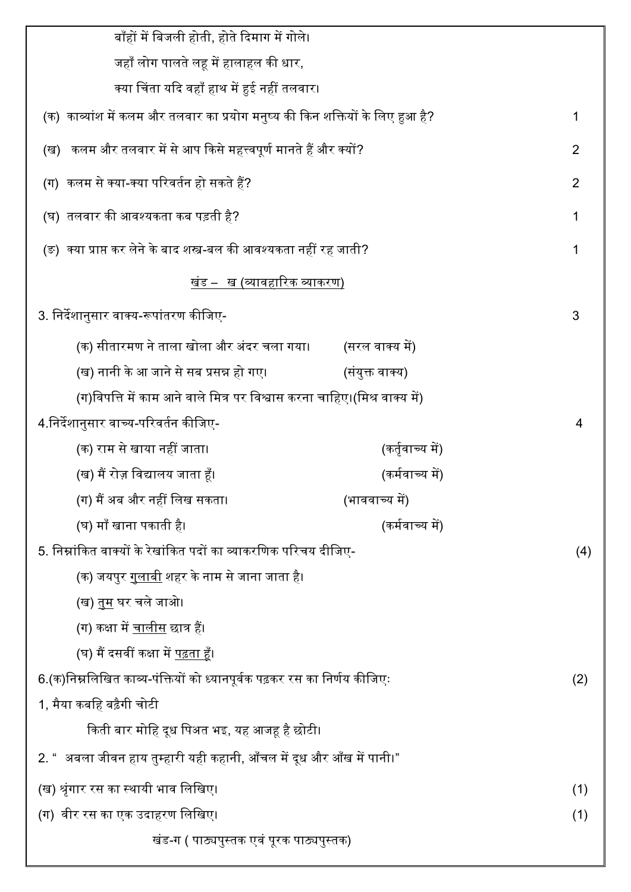| बाँहों में बिजली होती, होते दिमाग में गोले।                                   |                  |   |  |
|-------------------------------------------------------------------------------|------------------|---|--|
| जहाँ लोग पालते लह में हालाहल की धार,                                          |                  |   |  |
| क्या चिंता यदि वहाँ हाथ में हुई नहीं तलवार।                                   |                  |   |  |
| (क) काव्यांश में कलम और तलवार का प्रयोग मनुष्य की किन शक्तियों के लिए हुआ है? |                  |   |  |
| (ख)   कलम और तलवार में से आप किसे महत्त्वपूर्ण मानते हैं और क्यों?            |                  |   |  |
| (ग)  कलम से क्या-क्या परिवर्तन हो सकते हैं?                                   |                  |   |  |
| (घ) तलवार की आवश्यकता कब पड़ती है?                                            |                  |   |  |
| (ङ)  क्या प्राप्त कर लेने के बाद शस्त्र-बल की आवश्यकता नहीं रह जाती?          |                  |   |  |
| खंड –   ख (व्यावहारिक व्याकरण)                                                |                  |   |  |
| 3. निर्देशानुसार वाक्य-रूपांतरण कीजिए-                                        |                  | 3 |  |
| (क) सीतारमण ने ताला खोला और अंदर चला गया।                                     | (सरल वाक्य में)  |   |  |
| (ख) नानी के आ जाने से सब प्रसन्न हो गए।                                       | (संयुक्त वाक्य)  |   |  |
| (ग)विपत्ति में काम आने वाले मित्र पर विश्वास करना चाहिए।(मिश्र वाक्य में)     |                  |   |  |
| 4.निर्देशानुसार वाच्य-परिवर्तन कीजिए-                                         |                  | 4 |  |
| (क) राम से खाया नहीं जाता।                                                    | (कर्तृवाच्य में) |   |  |
| (ख) मैं रोज़ विद्यालय जाता हूँ।                                               | (कर्मवाच्य में)  |   |  |
| (ग) मैं अब और नहीं लिख सकता।                                                  | (भाववाच्य में)   |   |  |
| (घ) माँ खाना पकाती है।                                                        | (कर्मवाच्य में)  |   |  |
| 5. निम्नांकित वाक्यों के रेखांकित पदों का व्याकरणिक परिचय दीजिए-              |                  |   |  |
| (क) जयपुर <u>गुलाबी</u> शहर के नाम से जाना जाता है।                           |                  |   |  |
| (ख) <u>तम</u> घर चले जाओ।                                                     |                  |   |  |
| (ग) कक्षा में <u>चालीस</u> छात्र हैं।                                         |                  |   |  |
| (घ) मैं दसवीं कक्षा में <u>पढ़ता ह</u> ँ।                                     |                  |   |  |
| 6.(क)निम्नलिखित काव्य-पंक्तियों को ध्यानपूर्वक पढ़कर रस का निर्णय कीजिएः      |                  |   |  |
| 1, मैया कबहि बढ़ैगी चोटी                                                      |                  |   |  |
| किती बार मोहि दूध पिअत भइ, यह आजह है छोटी।                                    |                  |   |  |
| 2. "  अबला जीवन हाय तुम्हारी यही कहानी, आँचल में दूध और आँख में पानी।"        |                  |   |  |
| (ख) श्रृंगार रस का स्थायी भाव लिखिए।                                          |                  |   |  |
| (ग)  वीर रस का एक उदाहरण लिखिए।                                               |                  |   |  |
| खंड-ग ( पाठ्यपुस्तक एवं पूरक पाठ्यपुस्तक)                                     |                  |   |  |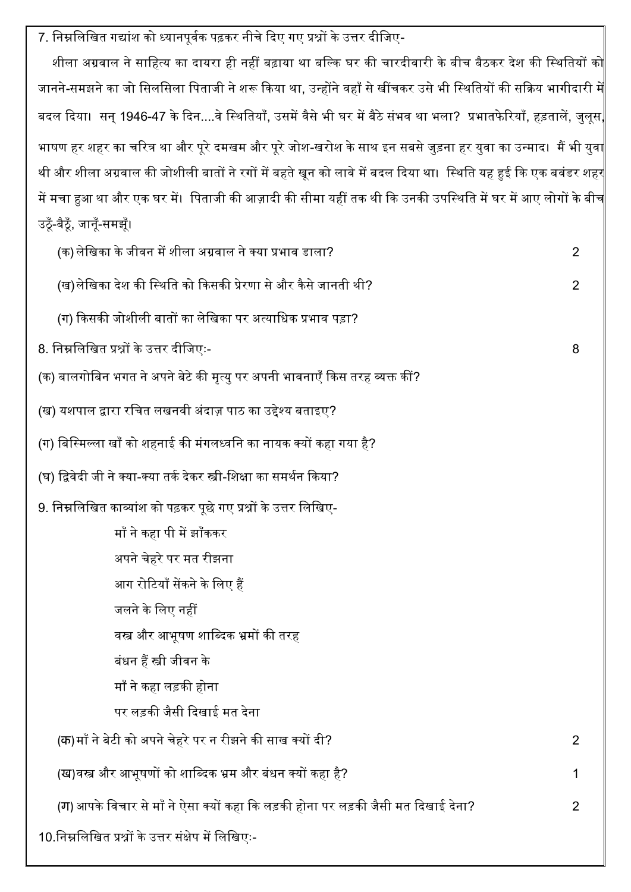7. निम्नलिखित गद्यांश को ध्यानपूर्वक पढ़कर नीचे दिए गए प्रश्नों के उत्तर दीजिए-

शीला अग्रवाल ने साहित्य का दायरा ही नहीं बढ़ाया था बल्कि घर की चारदीवारी के बीच बैठकर देश की स्थितियों को जानने-समझने का जो सिलसिला पिताजी ने शरू किया था, उन्होंने वहाँ से खींचकर उसे भी स्थितियों की सक्रिय भागीदारी मे बदल दिया। सन् 1946-47 के दिन....वे स्थितियाँ, उसमें वैसे भी घर में बैठे संभव था भला? प्रभातफेरियाँ, हड़तालें, जुलूस, भाषण हर शहर का चरित्र था और पूरे दमखम और पूरे जोश-खरोश के साथ इन सबसे जुड़ना हर युवा का उन्माद। मैं भी युवा थी और शीला अग्रवाल की जोशीली बातों ने रगों में बहते खून को लावे में बदल दिया था। स्थिति यह हुई कि एक बवंडर शहर में मचा हुआ था और एक घर में। पिताजी की आज़ादी की सीमा यहीं तक थी कि उनकी उपस्थिति में घर में आए लोगों के बीच ईठूँ-बैठूँ, जानूँ-समझूँ।

| (क) लेखिका के जीवन में शीला अग्रवाल ने क्या प्रभाव डाला?                          | 2 |
|-----------------------------------------------------------------------------------|---|
| (ख)लेखिका देश की स्थिति को किसकी प्रेरणा से और कैसे जानती थी?                     | 2 |
| (ग) किसकी जोशीली बातों का लेखिका पर अत्याधिक प्रभाव पड़ा?                         |   |
| 8. निम्नलिखित प्रश्नों के उत्तर दीजिएः-                                           | 8 |
| (क) बालगोबिन भगत ने अपने बेटे की मृत्यु पर अपनी भावनाएँ किस तरह व्यक्त कीं?       |   |
| (ख) यशपाल द्वारा रचित लखनवी अंदाज़ पाठ का उद्देश्य बताइए?                         |   |
| (ग) बिस्मिल्ला खाँ को शहनाई की मंगलध्वनि का नायक क्यों कहा गया है?                |   |
| (घ) द्विवेदी जी ने क्या-क्या तर्क देकर स्त्री-शिक्षा का समर्थन किया?              |   |
| 9. निम्नलिखित काव्यांश को पढ़कर पूछे गए प्रश्नों के उत्तर लिखिए-                  |   |
| माँ ने कहा पी में झाँककर                                                          |   |
| अपने चेहरे पर मत रीझना                                                            |   |
| आग रोटियाँ सेंकने के लिए हैं                                                      |   |
| जलने के लिए नहीं                                                                  |   |
| वस्त्र और आभूषण शाब्दिक भ्रमों की तरह                                             |   |
| बंधन हैं स्त्री जीवन के                                                           |   |
| माँ ने कहा लड़की होना                                                             |   |
| पर लड़की जैसी दिखाई मत देना                                                       |   |
| (क)माँ ने बेटी को अपने चेहरे पर न रीझने की साख क्यों दी?                          | 2 |
| (ख)वस्त्र और आभूषणों को शाब्दिक भ्रम और बंधन क्यों कहा है?                        | 1 |
| (ग) आपके विचार से माँ ने ऐसा क्यों कहा कि लड़की होना पर लड़की जैसी मत दिखाई देना? | 2 |
| 10.निम्नलिखित प्रश्नों के उत्तर संक्षेप में लिखिएः-                               |   |